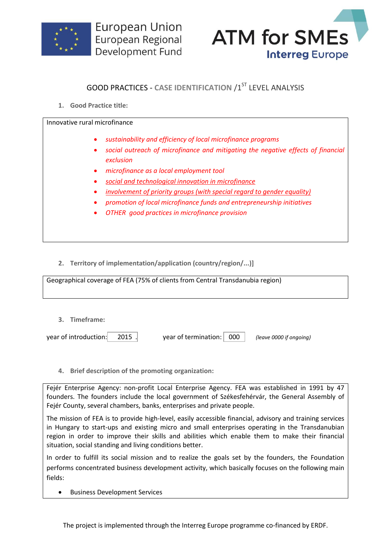



## **GOOD PRACTICES - CASE IDENTIFICATION /1ST LEVEL ANALYSIS**

**1. Good Practice title:**

Innovative rural microfinance

*sustainability and efficiency of local microfinance programs*

- *social outreach of microfinance and mitigating the negative effects of financial exclusion*
- *microfinance as a local employment tool*
- *social and technological innovation in microfinance*
- *involvement of priority groups (with special regard to gender equality)*
- *promotion of local microfinance funds and entrepreneurship initiatives*
- *OTHER good practices in microfinance provision*

**2. Territory of implementation/application (country/region/...)]**

Geographical coverage of FEA (75% of clients from Central Transdanubia region)

**3. Timeframe:**

year of introduction: 2015 . year of termination: 000 *(leave 0000 if ongoing)*

**4. Brief description of the promoting organization:**

Fejér Enterprise Agency: non-profit Local Enterprise Agency. FEA was established in 1991 by 47 founders. The founders include the local government of Székesfehérvár, the General Assembly of Fejér County, several chambers, banks, enterprises and private people.

The mission of FEA is to provide high-level, easily accessible financial, advisory and training services in Hungary to start-ups and existing micro and small enterprises operating in the Transdanubian region in order to improve their skills and abilities which enable them to make their financial situation, social standing and living conditions better.

In order to fulfill its social mission and to realize the goals set by the founders, the Foundation performs concentrated business development activity, which basically focuses on the following main fields:

Business Development Services

The project is implemented through the Interreg Europe programme co-financed by ERDF.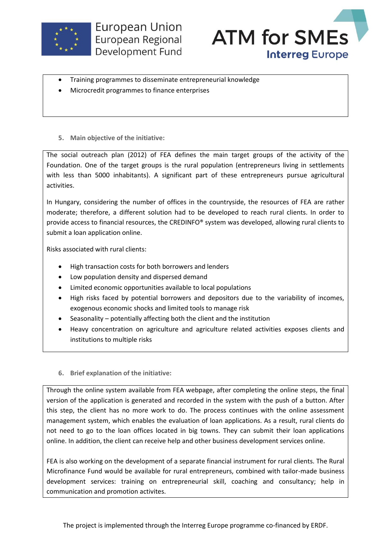



- Training programmes to disseminate entrepreneurial knowledge
- Microcredit programmes to finance enterprises
- **5. Main objective of the initiative:**

The social outreach plan (2012) of FEA defines the main target groups of the activity of the Foundation. One of the target groups is the rural population (entrepreneurs living in settlements with less than 5000 inhabitants). A significant part of these entrepreneurs pursue agricultural activities.

In Hungary, considering the number of offices in the countryside, the resources of FEA are rather moderate; therefore, a different solution had to be developed to reach rural clients. In order to provide access to financial resources, the CREDINFO® system was developed, allowing rural clients to submit a loan application online.

Risks associated with rural clients:

- High transaction costs for both borrowers and lenders
- Low population density and dispersed demand
- Limited economic opportunities available to local populations
- High risks faced by potential borrowers and depositors due to the variability of incomes, exogenous economic shocks and limited tools to manage risk
- Seasonality potentially affecting both the client and the institution
- Heavy concentration on agriculture and agriculture related activities exposes clients and institutions to multiple risks
- **6. Brief explanation of the initiative:**

Through the online system available from FEA webpage, after completing the online steps, the final version of the application is generated and recorded in the system with the push of a button. After this step, the client has no more work to do. The process continues with the online assessment management system, which enables the evaluation of loan applications. As a result, rural clients do not need to go to the loan offices located in big towns. They can submit their loan applications online. In addition, the client can receive help and other business development services online.

FEA is also working on the development of a separate financial instrument for rural clients. The Rural Microfinance Fund would be available for rural entrepreneurs, combined with tailor-made business development services: training on entrepreneurial skill, coaching and consultancy; help in communication and promotion activites.